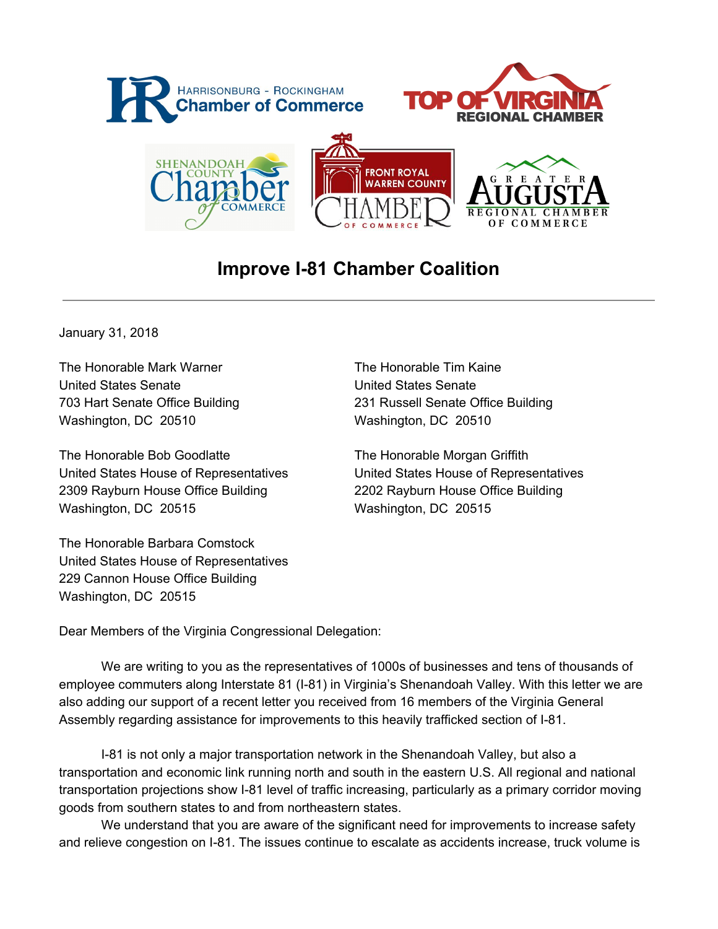

## **Improve I-81 Chamber Coalition**

January 31, 2018

The Honorable Mark Warner The Honorable Tim Kaine United States Senate United States Senate Washington, DC 20510 Washington, DC 20510

The Honorable Bob Goodlatte The Honorable Morgan Griffith 2309 Rayburn House Office Building 2202 Rayburn House Office Building Washington, DC 20515 Washington, DC 20515

The Honorable Barbara Comstock United States House of Representatives 229 Cannon House Office Building Washington, DC 20515

703 Hart Senate Office Building 231 Russell Senate Office Building

United States House of Representatives United States House of Representatives

Dear Members of the Virginia Congressional Delegation:

We are writing to you as the representatives of 1000s of businesses and tens of thousands of employee commuters along Interstate 81 (I-81) in Virginia's Shenandoah Valley. With this letter we are also adding our support of a recent letter you received from 16 members of the Virginia General Assembly regarding assistance for improvements to this heavily trafficked section of I-81.

I-81 is not only a major transportation network in the Shenandoah Valley, but also a transportation and economic link running north and south in the eastern U.S. All regional and national transportation projections show I-81 level of traffic increasing, particularly as a primary corridor moving goods from southern states to and from northeastern states.

We understand that you are aware of the significant need for improvements to increase safety and relieve congestion on I-81. The issues continue to escalate as accidents increase, truck volume is